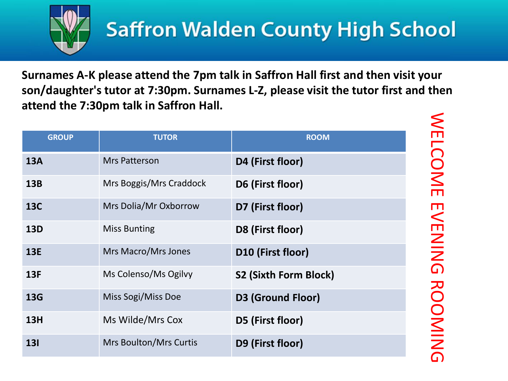

WELCOME EVENING ROOMING

WELCOME EVENING ROOMING

**Surnames A-K please attend the 7pm talk in Saffron Hall first and then visit your son/daughter's tutor at 7:30pm. Surnames L-Z, please visit the tutor first and then attend the 7:30pm talk in Saffron Hall.**

| <b>GROUP</b> | <b>TUTOR</b>                  | <b>ROOM</b>                  |
|--------------|-------------------------------|------------------------------|
| <b>13A</b>   | Mrs Patterson                 | D4 (First floor)             |
| <b>13B</b>   | Mrs Boggis/Mrs Craddock       | D6 (First floor)             |
| <b>13C</b>   | Mrs Dolia/Mr Oxborrow         | D7 (First floor)             |
| <b>13D</b>   | <b>Miss Bunting</b>           | D8 (First floor)             |
| <b>13E</b>   | Mrs Macro/Mrs Jones           | D10 (First floor)            |
| 13F          | Ms Colenso/Ms Ogilvy          | <b>S2 (Sixth Form Block)</b> |
| <b>13G</b>   | Miss Sogi/Miss Doe            | <b>D3 (Ground Floor)</b>     |
| <b>13H</b>   | Ms Wilde/Mrs Cox              | D5 (First floor)             |
| <b>131</b>   | <b>Mrs Boulton/Mrs Curtis</b> | D9 (First floor)             |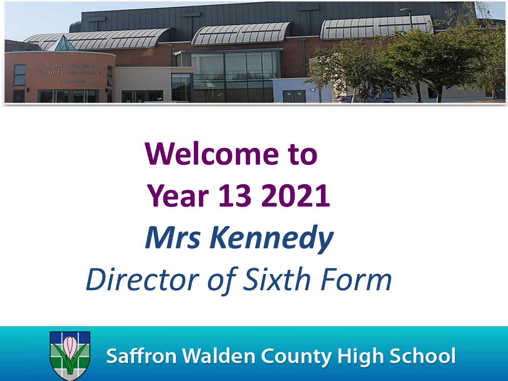

# **Welcome to Year 13 2021** *Mrs Kennedy Director of Sixth Form*



**Saffron Walden County High School**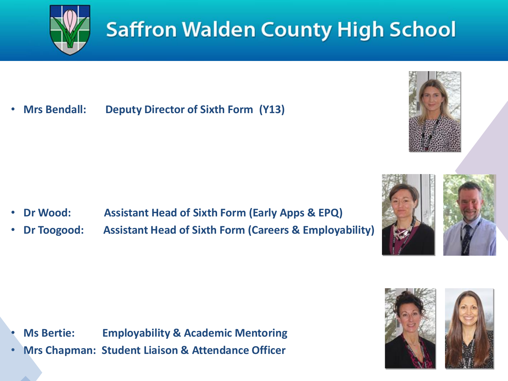

## **Saffron Walden County High School**

• **Mrs Bendall: Deputy Director of Sixth Form (Y13)**



- **Dr Wood: Assistant Head of Sixth Form (Early Apps & EPQ)**
- **Dr Toogood: Assistant Head of Sixth Form (Careers & Employability)**



• **Mrs Chapman: Student Liaison & Attendance Officer**



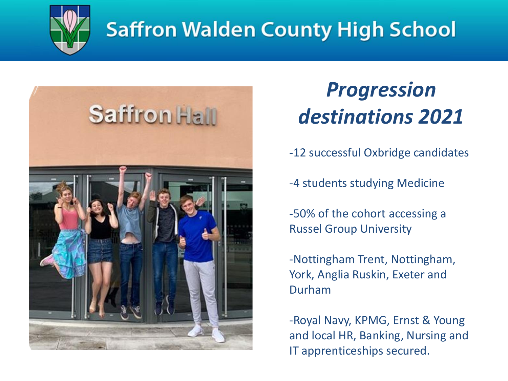

### **Saffron Walden County High School**



#### *Progression destinations 2021*

-12 successful Oxbridge candidates

-4 students studying Medicine

-50% of the cohort accessing a Russel Group University

-Nottingham Trent, Nottingham, York, Anglia Ruskin, Exeter and Durham

-Royal Navy, KPMG, Ernst & Young and local HR, Banking, Nursing and IT apprenticeships secured.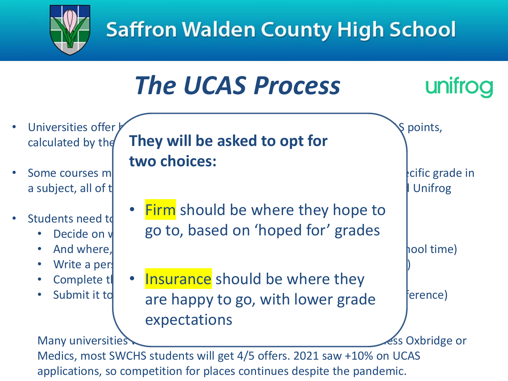



applications, so competition for places continues despite the pandemic.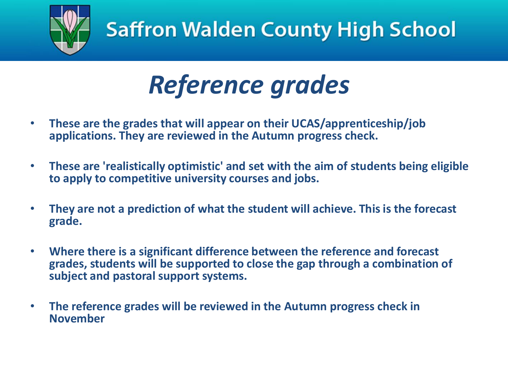

# *Reference grades*

- **These are the grades that will appear on their UCAS/apprenticeship/job applications. They are reviewed in the Autumn progress check.**
- **These are 'realistically optimistic' and set with the aim of students being eligible to apply to competitive university courses and jobs.**
- **They are not a prediction of what the student will achieve. This is the forecast grade.**
- **Where there is a significant difference between the reference and forecast grades, students will be supported to close the gap through a combination of subject and pastoral support systems.**
- **The reference grades will be reviewed in the Autumn progress check in November**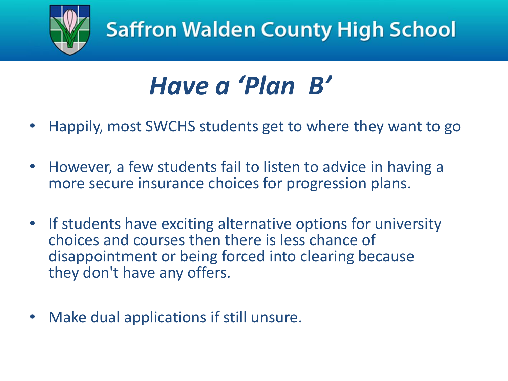

# *Have a 'Plan B'*

- Happily, most SWCHS students get to where they want to go
- However, a few students fail to listen to advice in having a more secure insurance choices for progression plans.
- If students have exciting alternative options for university choices and courses then there is less chance of disappointment or being forced into clearing because they don't have any offers.
- Make dual applications if still unsure.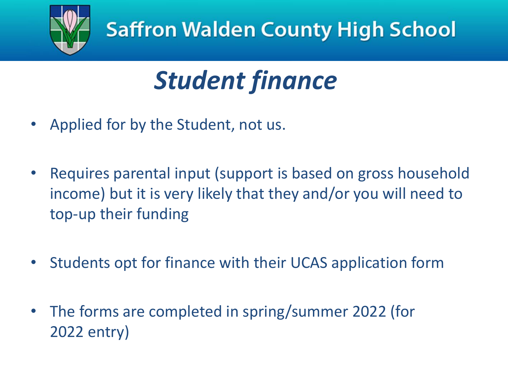

# *Student finance*

- Applied for by the Student, not us.
- Requires parental input (support is based on gross household income) but it is very likely that they and/or you will need to top-up their funding
- Students opt for finance with their UCAS application form
- The forms are completed in spring/summer 2022 (for 2022 entry)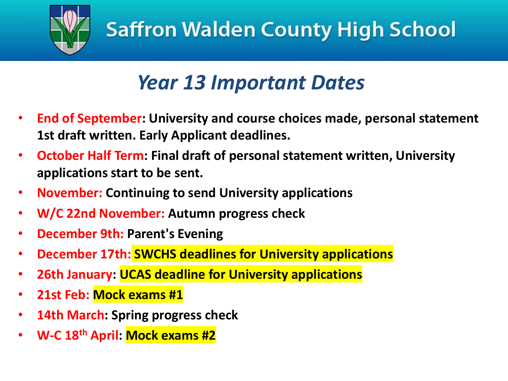

#### *Year 13 Important Dates*

- **End of September: University and course choices made, personal statement 1st draft written. Early Applicant deadlines.**
- **October Half Term: Final draft of personal statement written, University applications start to be sent.**
- **November: Continuing to send University applications**
- **W/C 22nd November: Autumn progress check**
- **December 9th: Parent's Evening**
- **December 17th: SWCHS deadlines for University applications**
- **26th January: UCAS deadline for University applications**
- **21st Feb: Mock exams #1**
- **14th March: Spring progress check**
- **W-C 18th April: Mock exams #2**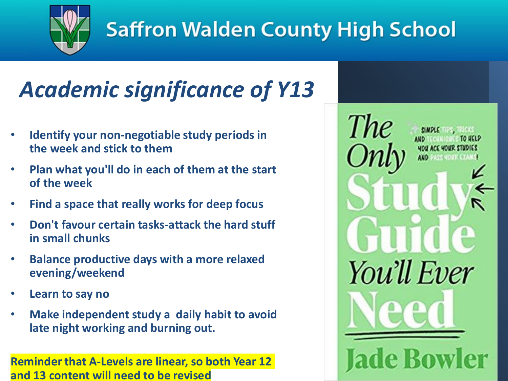

## **Saffron Walden County High School**

## *Academic significance of Y13*

- **Identify your non-negotiable study periods in the week and stick to them**
- **Plan what you'll do in each of them at the start of the week**
- **Find a space that really works for deep focus**
- **Don't favour certain tasks-attack the hard stuff in small chunks**
- **Balance productive days with a more relaxed evening/weekend**
- **Learn to say no**
- **Make independent study a daily habit to avoid late night working and burning out.**

**Reminder that A-Levels are linear, so both Year 12 and 13 content will need to be revised**

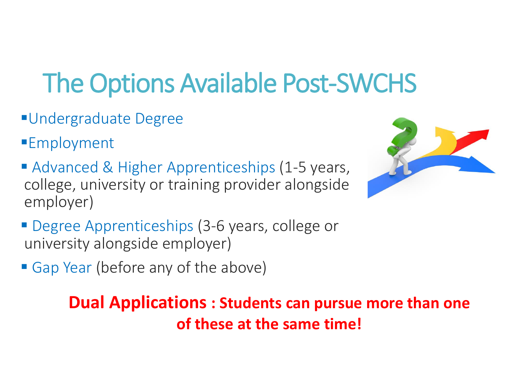# The Options Available Post-SWCHS

- ▪Undergraduate Degree
- ■Employment
- Advanced & Higher Apprenticeships (1-5 years, college, university or training provider alongside employer)



- **Degree Apprenticeships (3-6 years, college or** university alongside employer)
- Gap Year (before any of the above)

**Dual Applications : Students can pursue more than one of these at the same time!**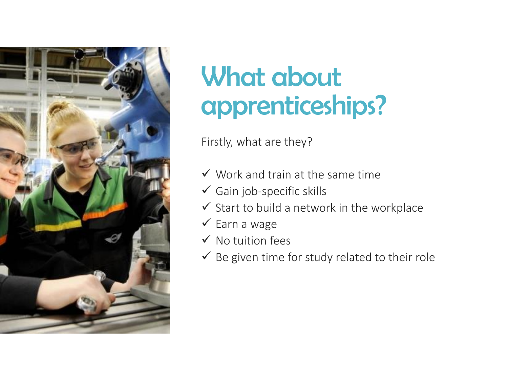

## What about apprenticeships?

Firstly, what are they?

- $\checkmark$  Work and train at the same time
- $\checkmark$  Gain job-specific skills
- $\checkmark$  Start to build a network in the workplace
- $\checkmark$  Earn a wage
- $\checkmark$  No tuition fees
- $\checkmark$  Be given time for study related to their role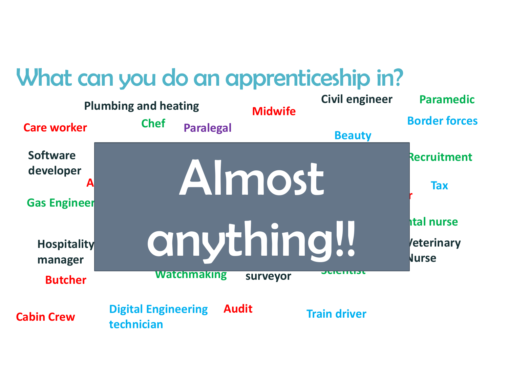#### What can you do an apprenticeship in?

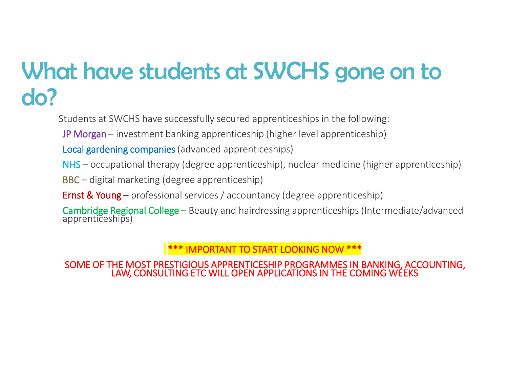#### What have students at SWCHS gone on to do?

Students at SWCHS have successfully secured apprenticeships in the following:

JP Morgan – investment banking apprenticeship (higher level apprenticeship)

Local gardening companies (advanced apprenticeships)

NHS – occupational therapy (degree apprenticeship), nuclear medicine (higher apprenticeship)

BBC – digital marketing (degree apprenticeship)

**Ernst & Young** – professional services / accountancy (degree apprenticeship)

Cambridge Regional College – Beauty and hairdressing apprenticeships (Intermediate/advanced apprenticeships)

\*\*\* IMPORTANT TO START LOOKING NOW \*\*\*

SOME OF THE MOST PRESTIGIOUS APPRENTICESHIP PROGRAMMES IN BANKING, ACCOUNTING, LAW, CONSULTING ETC WILL OPEN APPLICATIONS IN THE COMING WEEKS